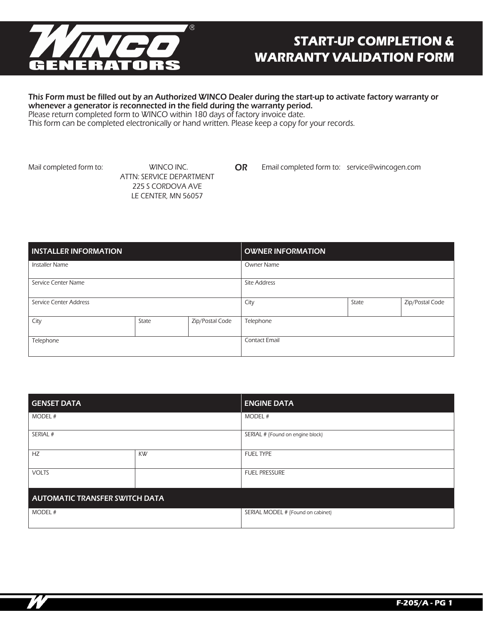

# **START-UP COMPLETION & WARRANTY VALIDATION FORM**

### This Form must be filled out by an Authorized WINCO Dealer during the start-up to activate factory warranty or whenever a generator is reconnected in the field during the warranty period.

Please return completed form to WINCO within 180 days of factory invoice date.

This form can be completed electronically or hand written. Please keep a copy for your records.

Mail completed form to: WINCO INC.

ATTN: SERVICE DEPARTMENT 225 S CORDOVA AVE LE CENTER, MN 56057

OR Email completed form to: service@wincogen.com

| <b>INSTALLER INFORMATION</b> |       |                      | <b>OWNER INFORMATION</b> |                 |  |
|------------------------------|-------|----------------------|--------------------------|-----------------|--|
| <b>Installer Name</b>        |       |                      | <b>Owner Name</b>        |                 |  |
| Service Center Name          |       |                      | <b>Site Address</b>      |                 |  |
| Service Center Address       |       | City                 | State                    | Zip/Postal Code |  |
| City                         | State | Zip/Postal Code      | Telephone                |                 |  |
| Telephone                    |       | <b>Contact Email</b> |                          |                 |  |

| <b>GENSET DATA</b>                    |    | <b>ENGINE DATA</b>                |  |
|---------------------------------------|----|-----------------------------------|--|
| MODEL #                               |    | MODEL #                           |  |
| SERIAL #                              |    | SERIAL # (Found on engine block)  |  |
| HZ                                    | KW | <b>FUEL TYPE</b>                  |  |
| <b>VOLTS</b>                          |    | <b>FUEL PRESSURE</b>              |  |
| <b>AUTOMATIC TRANSFER SWITCH DATA</b> |    |                                   |  |
| MODEL #                               |    | SERIAL MODEL # (Found on cabinet) |  |